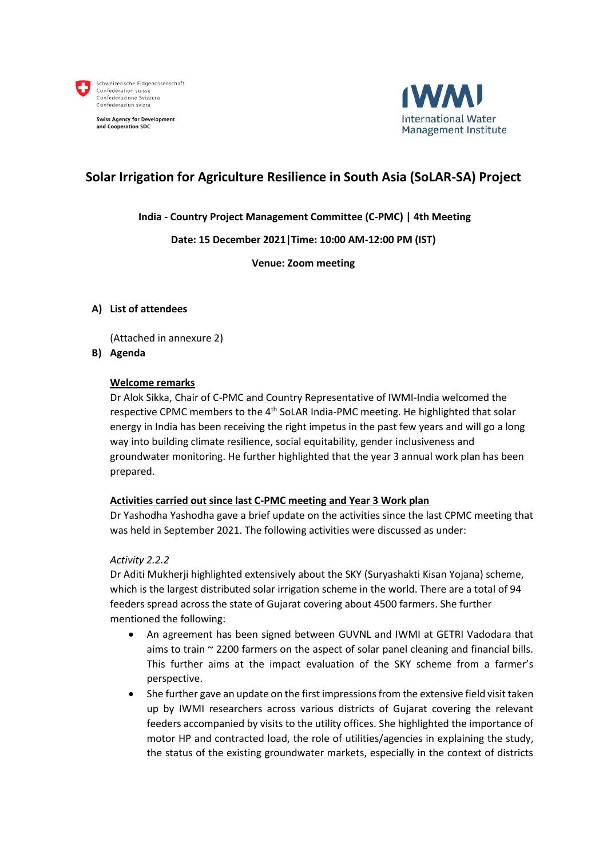

**Swiss Agency for Development** and Cooperation SDC



### **Solar Irrigation for Agriculture Resilience in South Asia (SoLAR-SA) Project**

#### **India - Country Project Management Committee (C-PMC) | 4th Meeting**

#### **Date: 15 December 2021|Time: 10:00 AM-12:00 PM (IST)**

**Venue: Zoom meeting**

#### **A) List of attendees**

(Attached in annexure 2)

#### **B) Agenda**

#### **Welcome remarks**

Dr Alok Sikka, Chair of C-PMC and Country Representative of IWMI-India welcomed the respective CPMC members to the 4<sup>th</sup> SoLAR India-PMC meeting. He highlighted that solar energy in India has been receiving the right impetus in the past few years and will go a long way into building climate resilience, social equitability, gender inclusiveness and groundwater monitoring. He further highlighted that the year 3 annual work plan has been prepared.

#### **Activities carried out since last C-PMC meeting and Year 3 Work plan**

Dr Yashodha Yashodha gave a brief update on the activities since the last CPMC meeting that was held in September 2021. The following activities were discussed as under:

#### *Activity 2.2.2*

Dr Aditi Mukherji highlighted extensively about the SKY (Suryashakti Kisan Yojana) scheme, which is the largest distributed solar irrigation scheme in the world. There are a total of 94 feeders spread across the state of Gujarat covering about 4500 farmers. She further mentioned the following:

- An agreement has been signed between GUVNL and IWMI at GETRI Vadodara that aims to train  $\sim$  2200 farmers on the aspect of solar panel cleaning and financial bills. This further aims at the impact evaluation of the SKY scheme from a farmer's perspective.
- She further gave an update on the first impressions from the extensive field visit taken up by IWMI researchers across various districts of Gujarat covering the relevant feeders accompanied by visits to the utility offices. She highlighted the importance of motor HP and contracted load, the role of utilities/agencies in explaining the study, the status of the existing groundwater markets, especially in the context of districts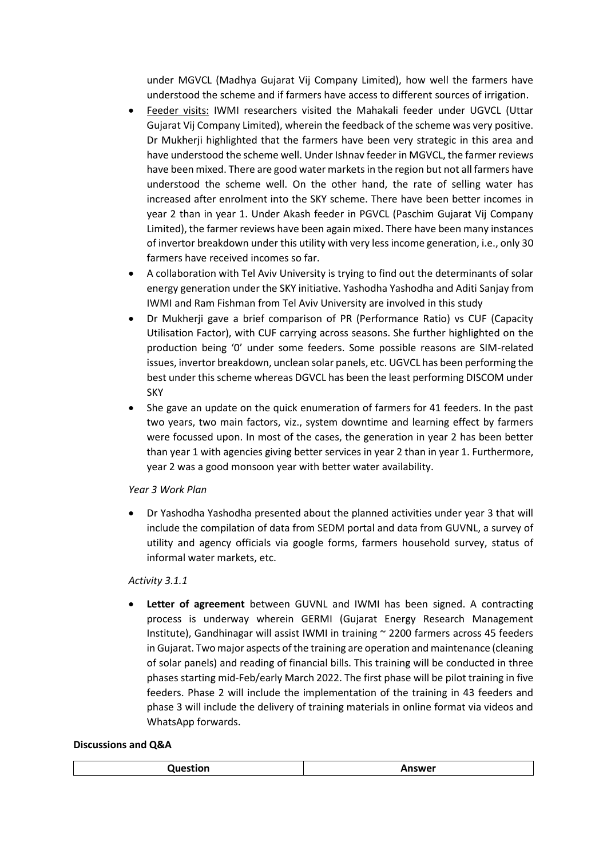under MGVCL (Madhya Gujarat Vij Company Limited), how well the farmers have understood the scheme and if farmers have access to different sources of irrigation.

- Feeder visits: IWMI researchers visited the Mahakali feeder under UGVCL (Uttar Gujarat Vij Company Limited), wherein the feedback of the scheme was very positive. Dr Mukherji highlighted that the farmers have been very strategic in this area and have understood the scheme well. Under Ishnav feeder in MGVCL, the farmer reviews have been mixed. There are good water markets in the region but not all farmers have understood the scheme well. On the other hand, the rate of selling water has increased after enrolment into the SKY scheme. There have been better incomes in year 2 than in year 1. Under Akash feeder in PGVCL (Paschim Gujarat Vij Company Limited), the farmer reviews have been again mixed. There have been many instances of invertor breakdown under this utility with very less income generation, i.e., only 30 farmers have received incomes so far.
- A collaboration with Tel Aviv University is trying to find out the determinants of solar energy generation under the SKY initiative. Yashodha Yashodha and Aditi Sanjay from IWMI and Ram Fishman from Tel Aviv University are involved in this study
- Dr Mukherji gave a brief comparison of PR (Performance Ratio) vs CUF (Capacity Utilisation Factor), with CUF carrying across seasons. She further highlighted on the production being '0' under some feeders. Some possible reasons are SIM-related issues, invertor breakdown, unclean solar panels, etc. UGVCL has been performing the best under this scheme whereas DGVCL has been the least performing DISCOM under SKY
- She gave an update on the quick enumeration of farmers for 41 feeders. In the past two years, two main factors, viz., system downtime and learning effect by farmers were focussed upon. In most of the cases, the generation in year 2 has been better than year 1 with agencies giving better services in year 2 than in year 1. Furthermore, year 2 was a good monsoon year with better water availability.

#### *Year 3 Work Plan*

• Dr Yashodha Yashodha presented about the planned activities under year 3 that will include the compilation of data from SEDM portal and data from GUVNL, a survey of utility and agency officials via google forms, farmers household survey, status of informal water markets, etc.

#### *Activity 3.1.1*

• **Letter of agreement** between GUVNL and IWMI has been signed. A contracting process is underway wherein GERMI (Gujarat Energy Research Management Institute), Gandhinagar will assist IWMI in training ~ 2200 farmers across 45 feeders in Gujarat. Two major aspects of the training are operation and maintenance (cleaning of solar panels) and reading of financial bills. This training will be conducted in three phases starting mid-Feb/early March 2022. The first phase will be pilot training in five feeders. Phase 2 will include the implementation of the training in 43 feeders and phase 3 will include the delivery of training materials in online format via videos and WhatsApp forwards.

#### **Discussions and Q&A**

|--|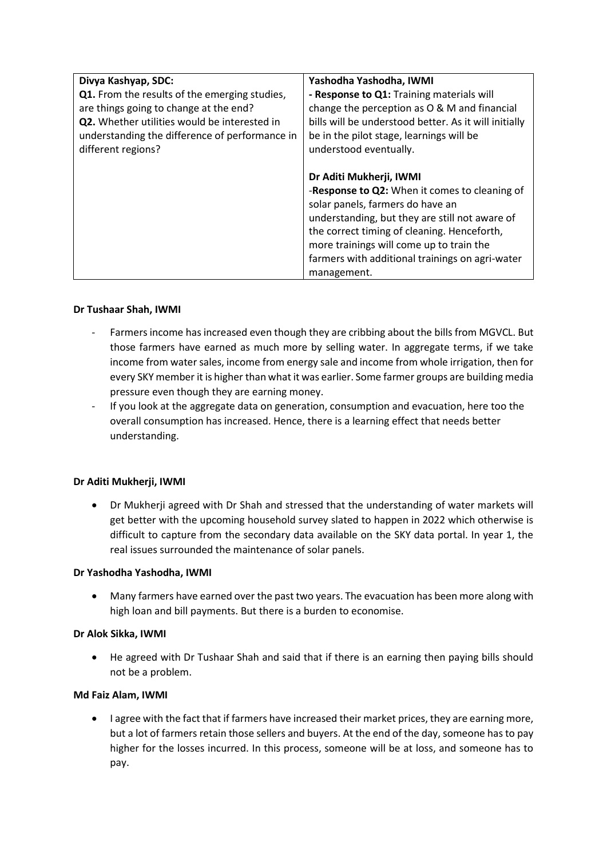| Divya Kashyap, SDC:                            | Yashodha Yashodha, IWMI                               |
|------------------------------------------------|-------------------------------------------------------|
| Q1. From the results of the emerging studies,  | - Response to Q1: Training materials will             |
| are things going to change at the end?         | change the perception as O & M and financial          |
| Q2. Whether utilities would be interested in   | bills will be understood better. As it will initially |
| understanding the difference of performance in | be in the pilot stage, learnings will be              |
| different regions?                             | understood eventually.                                |
|                                                |                                                       |
|                                                | Dr Aditi Mukherji, IWMI                               |
|                                                | -Response to Q2: When it comes to cleaning of         |
|                                                | solar panels, farmers do have an                      |
|                                                | understanding, but they are still not aware of        |
|                                                | the correct timing of cleaning. Henceforth,           |
|                                                | more trainings will come up to train the              |
|                                                | farmers with additional trainings on agri-water       |
|                                                | management.                                           |

#### **Dr Tushaar Shah, IWMI**

- Farmers income has increased even though they are cribbing about the bills from MGVCL. But those farmers have earned as much more by selling water. In aggregate terms, if we take income from water sales, income from energy sale and income from whole irrigation, then for every SKY member it is higher than what it was earlier. Some farmer groups are building media pressure even though they are earning money.
- If you look at the aggregate data on generation, consumption and evacuation, here too the overall consumption has increased. Hence, there is a learning effect that needs better understanding.

#### **Dr Aditi Mukherji, IWMI**

• Dr Mukherji agreed with Dr Shah and stressed that the understanding of water markets will get better with the upcoming household survey slated to happen in 2022 which otherwise is difficult to capture from the secondary data available on the SKY data portal. In year 1, the real issues surrounded the maintenance of solar panels.

#### **Dr Yashodha Yashodha, IWMI**

• Many farmers have earned over the past two years. The evacuation has been more along with high loan and bill payments. But there is a burden to economise.

#### **Dr Alok Sikka, IWMI**

• He agreed with Dr Tushaar Shah and said that if there is an earning then paying bills should not be a problem.

#### **Md Faiz Alam, IWMI**

• I agree with the fact that if farmers have increased their market prices, they are earning more, but a lot of farmers retain those sellers and buyers. At the end of the day, someone has to pay higher for the losses incurred. In this process, someone will be at loss, and someone has to pay.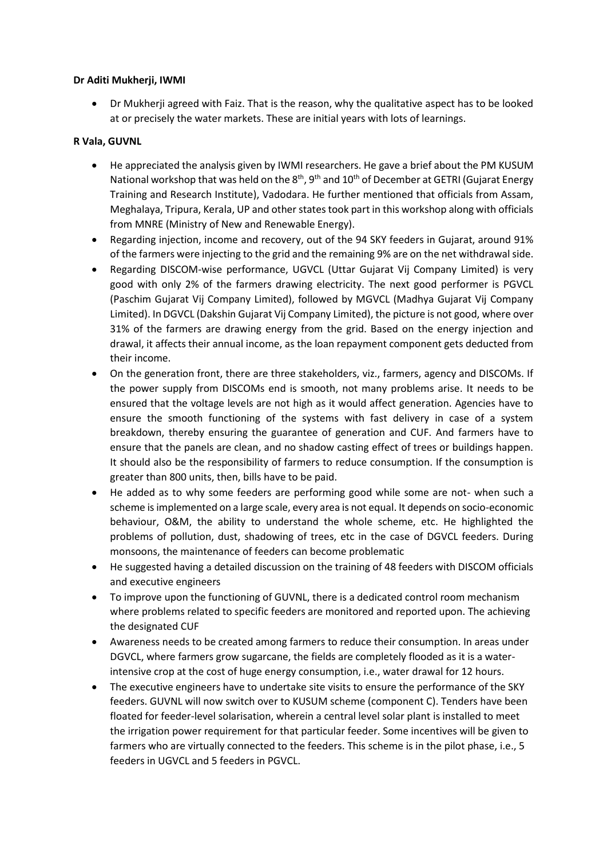#### **Dr Aditi Mukherji, IWMI**

• Dr Mukherji agreed with Faiz. That is the reason, why the qualitative aspect has to be looked at or precisely the water markets. These are initial years with lots of learnings.

#### **R Vala, GUVNL**

- He appreciated the analysis given by IWMI researchers. He gave a brief about the PM KUSUM National workshop that was held on the  $8<sup>th</sup>$ ,  $9<sup>th</sup>$  and  $10<sup>th</sup>$  of December at GETRI (Gujarat Energy Training and Research Institute), Vadodara. He further mentioned that officials from Assam, Meghalaya, Tripura, Kerala, UP and other states took part in this workshop along with officials from MNRE (Ministry of New and Renewable Energy).
- Regarding injection, income and recovery, out of the 94 SKY feeders in Gujarat, around 91% of the farmers were injecting to the grid and the remaining 9% are on the net withdrawal side.
- Regarding DISCOM-wise performance, UGVCL (Uttar Gujarat Vij Company Limited) is very good with only 2% of the farmers drawing electricity. The next good performer is PGVCL (Paschim Gujarat Vij Company Limited), followed by MGVCL (Madhya Gujarat Vij Company Limited). In DGVCL (Dakshin Gujarat Vij Company Limited), the picture is not good, where over 31% of the farmers are drawing energy from the grid. Based on the energy injection and drawal, it affects their annual income, as the loan repayment component gets deducted from their income.
- On the generation front, there are three stakeholders, viz., farmers, agency and DISCOMs. If the power supply from DISCOMs end is smooth, not many problems arise. It needs to be ensured that the voltage levels are not high as it would affect generation. Agencies have to ensure the smooth functioning of the systems with fast delivery in case of a system breakdown, thereby ensuring the guarantee of generation and CUF. And farmers have to ensure that the panels are clean, and no shadow casting effect of trees or buildings happen. It should also be the responsibility of farmers to reduce consumption. If the consumption is greater than 800 units, then, bills have to be paid.
- He added as to why some feeders are performing good while some are not- when such a scheme is implemented on a large scale, every area is not equal. It depends on socio-economic behaviour, O&M, the ability to understand the whole scheme, etc. He highlighted the problems of pollution, dust, shadowing of trees, etc in the case of DGVCL feeders. During monsoons, the maintenance of feeders can become problematic
- He suggested having a detailed discussion on the training of 48 feeders with DISCOM officials and executive engineers
- To improve upon the functioning of GUVNL, there is a dedicated control room mechanism where problems related to specific feeders are monitored and reported upon. The achieving the designated CUF
- Awareness needs to be created among farmers to reduce their consumption. In areas under DGVCL, where farmers grow sugarcane, the fields are completely flooded as it is a waterintensive crop at the cost of huge energy consumption, i.e., water drawal for 12 hours.
- The executive engineers have to undertake site visits to ensure the performance of the SKY feeders. GUVNL will now switch over to KUSUM scheme (component C). Tenders have been floated for feeder-level solarisation, wherein a central level solar plant is installed to meet the irrigation power requirement for that particular feeder. Some incentives will be given to farmers who are virtually connected to the feeders. This scheme is in the pilot phase, i.e., 5 feeders in UGVCL and 5 feeders in PGVCL.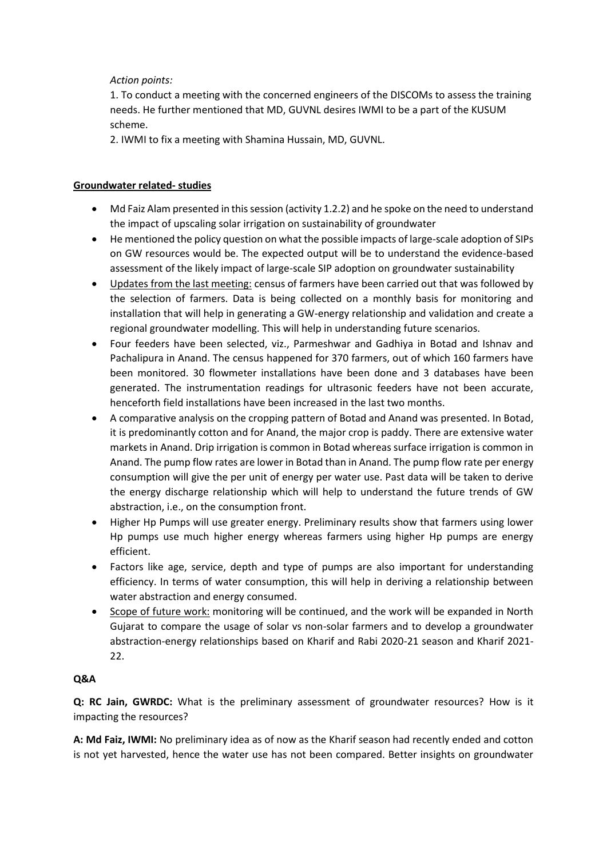#### *Action points:*

1. To conduct a meeting with the concerned engineers of the DISCOMs to assess the training needs. He further mentioned that MD, GUVNL desires IWMI to be a part of the KUSUM scheme.

2. IWMI to fix a meeting with Shamina Hussain, MD, GUVNL.

#### **Groundwater related- studies**

- Md Faiz Alam presented in this session (activity 1.2.2) and he spoke on the need to understand the impact of upscaling solar irrigation on sustainability of groundwater
- He mentioned the policy question on what the possible impacts of large-scale adoption of SIPs on GW resources would be. The expected output will be to understand the evidence-based assessment of the likely impact of large-scale SIP adoption on groundwater sustainability
- Updates from the last meeting: census of farmers have been carried out that was followed by the selection of farmers. Data is being collected on a monthly basis for monitoring and installation that will help in generating a GW-energy relationship and validation and create a regional groundwater modelling. This will help in understanding future scenarios.
- Four feeders have been selected, viz., Parmeshwar and Gadhiya in Botad and Ishnav and Pachalipura in Anand. The census happened for 370 farmers, out of which 160 farmers have been monitored. 30 flowmeter installations have been done and 3 databases have been generated. The instrumentation readings for ultrasonic feeders have not been accurate, henceforth field installations have been increased in the last two months.
- A comparative analysis on the cropping pattern of Botad and Anand was presented. In Botad, it is predominantly cotton and for Anand, the major crop is paddy. There are extensive water markets in Anand. Drip irrigation is common in Botad whereas surface irrigation is common in Anand. The pump flow rates are lower in Botad than in Anand. The pump flow rate per energy consumption will give the per unit of energy per water use. Past data will be taken to derive the energy discharge relationship which will help to understand the future trends of GW abstraction, i.e., on the consumption front.
- Higher Hp Pumps will use greater energy. Preliminary results show that farmers using lower Hp pumps use much higher energy whereas farmers using higher Hp pumps are energy efficient.
- Factors like age, service, depth and type of pumps are also important for understanding efficiency. In terms of water consumption, this will help in deriving a relationship between water abstraction and energy consumed.
- Scope of future work: monitoring will be continued, and the work will be expanded in North Gujarat to compare the usage of solar vs non-solar farmers and to develop a groundwater abstraction-energy relationships based on Kharif and Rabi 2020-21 season and Kharif 2021- 22.

#### **Q&A**

**Q: RC Jain, GWRDC:** What is the preliminary assessment of groundwater resources? How is it impacting the resources?

**A: Md Faiz, IWMI:** No preliminary idea as of now as the Kharif season had recently ended and cotton is not yet harvested, hence the water use has not been compared. Better insights on groundwater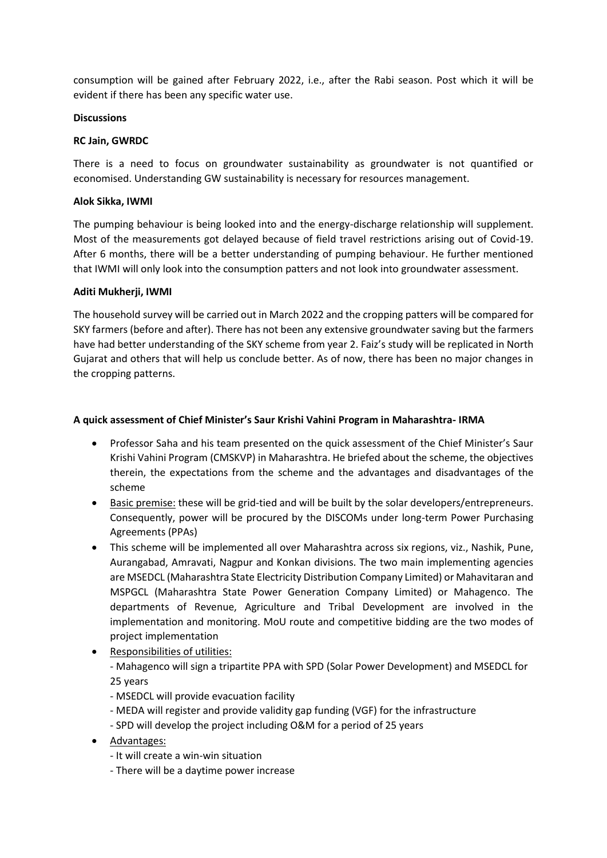consumption will be gained after February 2022, i.e., after the Rabi season. Post which it will be evident if there has been any specific water use.

#### **Discussions**

#### **RC Jain, GWRDC**

There is a need to focus on groundwater sustainability as groundwater is not quantified or economised. Understanding GW sustainability is necessary for resources management.

#### **Alok Sikka, IWMI**

The pumping behaviour is being looked into and the energy-discharge relationship will supplement. Most of the measurements got delayed because of field travel restrictions arising out of Covid-19. After 6 months, there will be a better understanding of pumping behaviour. He further mentioned that IWMI will only look into the consumption patters and not look into groundwater assessment.

#### **Aditi Mukherji, IWMI**

The household survey will be carried out in March 2022 and the cropping patters will be compared for SKY farmers (before and after). There has not been any extensive groundwater saving but the farmers have had better understanding of the SKY scheme from year 2. Faiz's study will be replicated in North Gujarat and others that will help us conclude better. As of now, there has been no major changes in the cropping patterns.

#### **A quick assessment of Chief Minister's Saur Krishi Vahini Program in Maharashtra- IRMA**

- Professor Saha and his team presented on the quick assessment of the Chief Minister's Saur Krishi Vahini Program (CMSKVP) in Maharashtra. He briefed about the scheme, the objectives therein, the expectations from the scheme and the advantages and disadvantages of the scheme
- Basic premise: these will be grid-tied and will be built by the solar developers/entrepreneurs. Consequently, power will be procured by the DISCOMs under long-term Power Purchasing Agreements (PPAs)
- This scheme will be implemented all over Maharashtra across six regions, viz., Nashik, Pune, Aurangabad, Amravati, Nagpur and Konkan divisions. The two main implementing agencies are MSEDCL (Maharashtra State Electricity Distribution Company Limited) or Mahavitaran and MSPGCL (Maharashtra State Power Generation Company Limited) or Mahagenco. The departments of Revenue, Agriculture and Tribal Development are involved in the implementation and monitoring. MoU route and competitive bidding are the two modes of project implementation
- Responsibilities of utilities: - Mahagenco will sign a tripartite PPA with SPD (Solar Power Development) and MSEDCL for 25 years
	- MSEDCL will provide evacuation facility
	- MEDA will register and provide validity gap funding (VGF) for the infrastructure
	- SPD will develop the project including O&M for a period of 25 years
- Advantages:
	- It will create a win-win situation
	- There will be a daytime power increase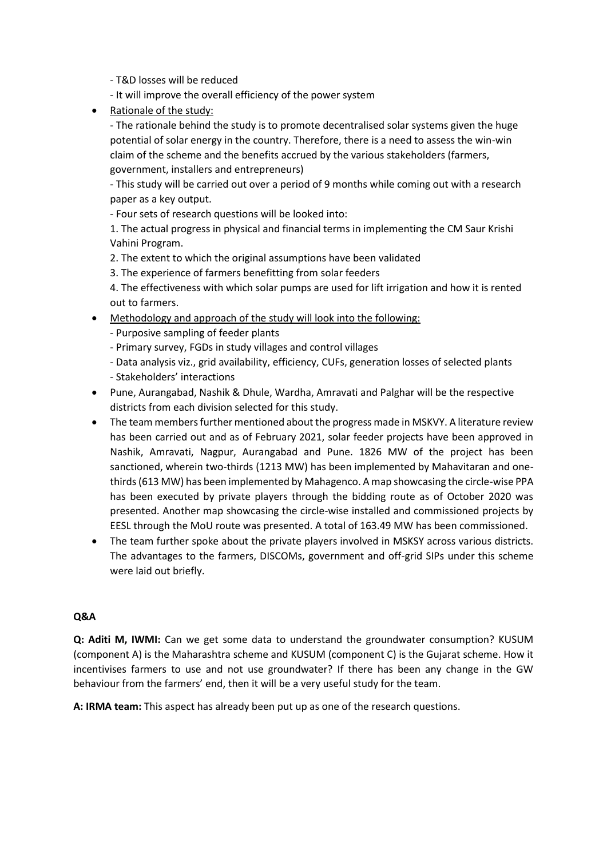- T&D losses will be reduced
- It will improve the overall efficiency of the power system
- Rationale of the study:

- The rationale behind the study is to promote decentralised solar systems given the huge potential of solar energy in the country. Therefore, there is a need to assess the win-win claim of the scheme and the benefits accrued by the various stakeholders (farmers, government, installers and entrepreneurs)

- This study will be carried out over a period of 9 months while coming out with a research paper as a key output.

- Four sets of research questions will be looked into:

1. The actual progress in physical and financial terms in implementing the CM Saur Krishi Vahini Program.

2. The extent to which the original assumptions have been validated

3. The experience of farmers benefitting from solar feeders

4. The effectiveness with which solar pumps are used for lift irrigation and how it is rented out to farmers.

- Methodology and approach of the study will look into the following:
	- Purposive sampling of feeder plants
	- Primary survey, FGDs in study villages and control villages
	- Data analysis viz., grid availability, efficiency, CUFs, generation losses of selected plants - Stakeholders' interactions
- Pune, Aurangabad, Nashik & Dhule, Wardha, Amravati and Palghar will be the respective districts from each division selected for this study.
- The team members further mentioned about the progress made in MSKVY. A literature review has been carried out and as of February 2021, solar feeder projects have been approved in Nashik, Amravati, Nagpur, Aurangabad and Pune. 1826 MW of the project has been sanctioned, wherein two-thirds (1213 MW) has been implemented by Mahavitaran and onethirds (613 MW) has been implemented by Mahagenco. A map showcasing the circle-wise PPA has been executed by private players through the bidding route as of October 2020 was presented. Another map showcasing the circle-wise installed and commissioned projects by EESL through the MoU route was presented. A total of 163.49 MW has been commissioned.
- The team further spoke about the private players involved in MSKSY across various districts. The advantages to the farmers, DISCOMs, government and off-grid SIPs under this scheme were laid out briefly.

#### **Q&A**

**Q: Aditi M, IWMI:** Can we get some data to understand the groundwater consumption? KUSUM (component A) is the Maharashtra scheme and KUSUM (component C) is the Gujarat scheme. How it incentivises farmers to use and not use groundwater? If there has been any change in the GW behaviour from the farmers' end, then it will be a very useful study for the team.

**A: IRMA team:** This aspect has already been put up as one of the research questions.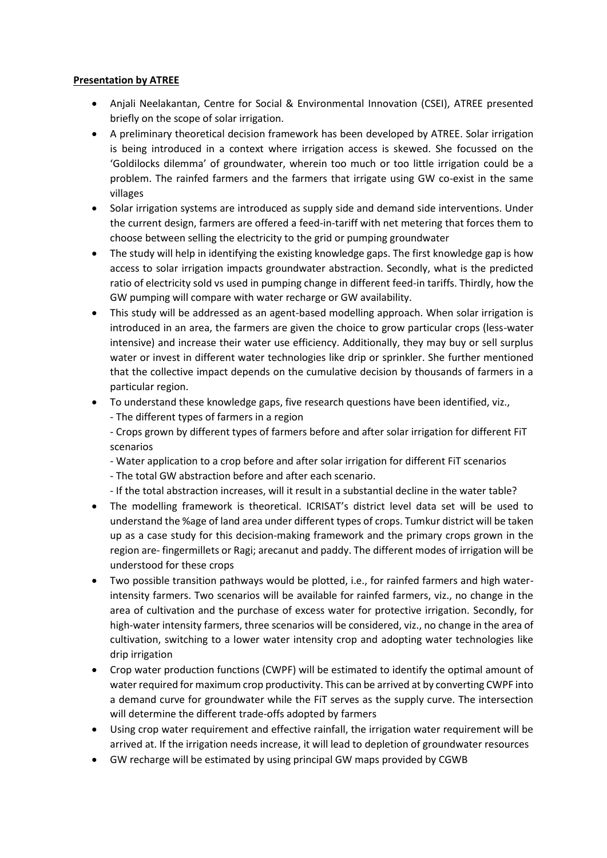#### **Presentation by ATREE**

- Anjali Neelakantan, Centre for Social & Environmental Innovation (CSEI), ATREE presented briefly on the scope of solar irrigation.
- A preliminary theoretical decision framework has been developed by ATREE. Solar irrigation is being introduced in a context where irrigation access is skewed. She focussed on the 'Goldilocks dilemma' of groundwater, wherein too much or too little irrigation could be a problem. The rainfed farmers and the farmers that irrigate using GW co-exist in the same villages
- Solar irrigation systems are introduced as supply side and demand side interventions. Under the current design, farmers are offered a feed-in-tariff with net metering that forces them to choose between selling the electricity to the grid or pumping groundwater
- The study will help in identifying the existing knowledge gaps. The first knowledge gap is how access to solar irrigation impacts groundwater abstraction. Secondly, what is the predicted ratio of electricity sold vs used in pumping change in different feed-in tariffs. Thirdly, how the GW pumping will compare with water recharge or GW availability.
- This study will be addressed as an agent-based modelling approach. When solar irrigation is introduced in an area, the farmers are given the choice to grow particular crops (less-water intensive) and increase their water use efficiency. Additionally, they may buy or sell surplus water or invest in different water technologies like drip or sprinkler. She further mentioned that the collective impact depends on the cumulative decision by thousands of farmers in a particular region.
- To understand these knowledge gaps, five research questions have been identified, viz.,
	- The different types of farmers in a region

- Crops grown by different types of farmers before and after solar irrigation for different FiT scenarios

- Water application to a crop before and after solar irrigation for different FiT scenarios
- The total GW abstraction before and after each scenario.
- If the total abstraction increases, will it result in a substantial decline in the water table?
- The modelling framework is theoretical. ICRISAT's district level data set will be used to understand the %age of land area under different types of crops. Tumkur district will be taken up as a case study for this decision-making framework and the primary crops grown in the region are- fingermillets or Ragi; arecanut and paddy. The different modes of irrigation will be understood for these crops
- Two possible transition pathways would be plotted, i.e., for rainfed farmers and high waterintensity farmers. Two scenarios will be available for rainfed farmers, viz., no change in the area of cultivation and the purchase of excess water for protective irrigation. Secondly, for high-water intensity farmers, three scenarios will be considered, viz., no change in the area of cultivation, switching to a lower water intensity crop and adopting water technologies like drip irrigation
- Crop water production functions (CWPF) will be estimated to identify the optimal amount of water required for maximum crop productivity. This can be arrived at by converting CWPF into a demand curve for groundwater while the FiT serves as the supply curve. The intersection will determine the different trade-offs adopted by farmers
- Using crop water requirement and effective rainfall, the irrigation water requirement will be arrived at. If the irrigation needs increase, it will lead to depletion of groundwater resources
- GW recharge will be estimated by using principal GW maps provided by CGWB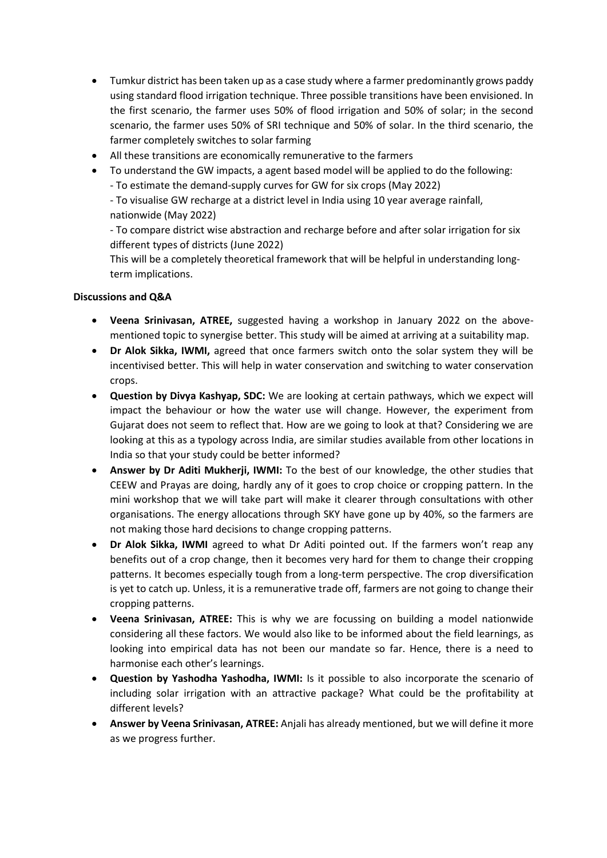- Tumkur district has been taken up as a case study where a farmer predominantly grows paddy using standard flood irrigation technique. Three possible transitions have been envisioned. In the first scenario, the farmer uses 50% of flood irrigation and 50% of solar; in the second scenario, the farmer uses 50% of SRI technique and 50% of solar. In the third scenario, the farmer completely switches to solar farming
- All these transitions are economically remunerative to the farmers
- To understand the GW impacts, a agent based model will be applied to do the following:
	- To estimate the demand-supply curves for GW for six crops (May 2022)

- To visualise GW recharge at a district level in India using 10 year average rainfall, nationwide (May 2022)

- To compare district wise abstraction and recharge before and after solar irrigation for six different types of districts (June 2022)

This will be a completely theoretical framework that will be helpful in understanding longterm implications.

#### **Discussions and Q&A**

- **Veena Srinivasan, ATREE,** suggested having a workshop in January 2022 on the abovementioned topic to synergise better. This study will be aimed at arriving at a suitability map.
- **Dr Alok Sikka, IWMI,** agreed that once farmers switch onto the solar system they will be incentivised better. This will help in water conservation and switching to water conservation crops.
- **Question by Divya Kashyap, SDC:** We are looking at certain pathways, which we expect will impact the behaviour or how the water use will change. However, the experiment from Gujarat does not seem to reflect that. How are we going to look at that? Considering we are looking at this as a typology across India, are similar studies available from other locations in India so that your study could be better informed?
- **Answer by Dr Aditi Mukherji, IWMI:** To the best of our knowledge, the other studies that CEEW and Prayas are doing, hardly any of it goes to crop choice or cropping pattern. In the mini workshop that we will take part will make it clearer through consultations with other organisations. The energy allocations through SKY have gone up by 40%, so the farmers are not making those hard decisions to change cropping patterns.
- **Dr Alok Sikka, IWMI** agreed to what Dr Aditi pointed out. If the farmers won't reap any benefits out of a crop change, then it becomes very hard for them to change their cropping patterns. It becomes especially tough from a long-term perspective. The crop diversification is yet to catch up. Unless, it is a remunerative trade off, farmers are not going to change their cropping patterns.
- **Veena Srinivasan, ATREE:** This is why we are focussing on building a model nationwide considering all these factors. We would also like to be informed about the field learnings, as looking into empirical data has not been our mandate so far. Hence, there is a need to harmonise each other's learnings.
- **Question by Yashodha Yashodha, IWMI:** Is it possible to also incorporate the scenario of including solar irrigation with an attractive package? What could be the profitability at different levels?
- **Answer by Veena Srinivasan, ATREE:** Anjali has already mentioned, but we will define it more as we progress further.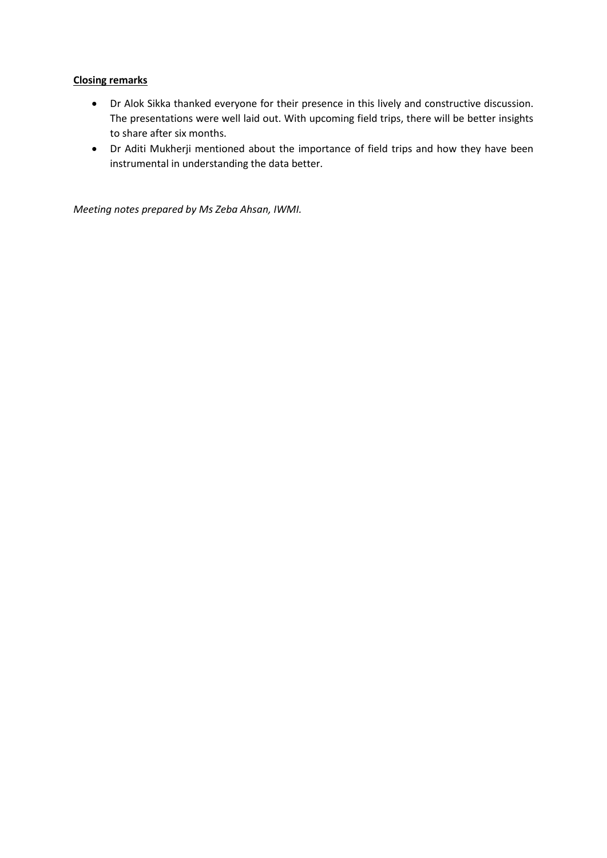#### **Closing remarks**

- Dr Alok Sikka thanked everyone for their presence in this lively and constructive discussion. The presentations were well laid out. With upcoming field trips, there will be better insights to share after six months.
- Dr Aditi Mukherji mentioned about the importance of field trips and how they have been instrumental in understanding the data better.

*Meeting notes prepared by Ms Zeba Ahsan, IWMI.*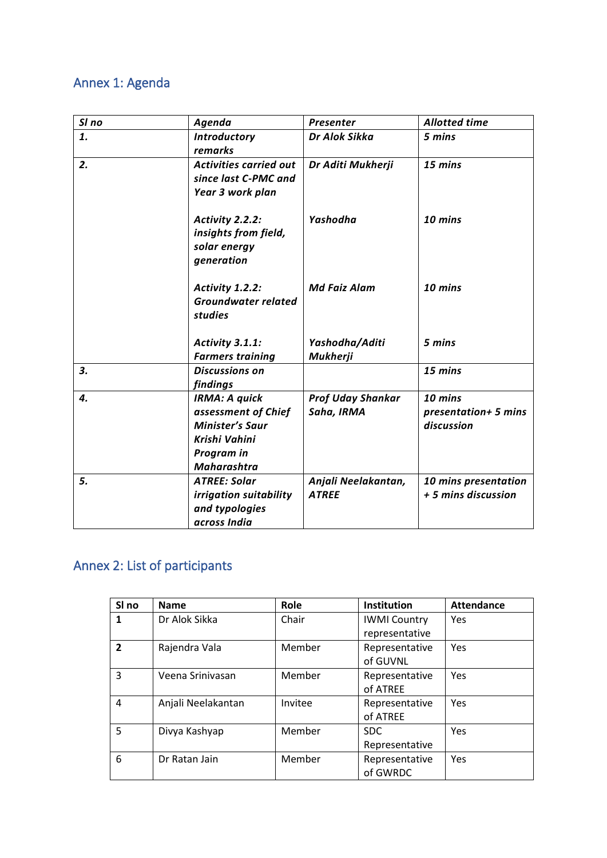## Annex 1: Agenda

| SI no | Agenda                                                                                                                     | Presenter                              | <b>Allotted time</b>                          |
|-------|----------------------------------------------------------------------------------------------------------------------------|----------------------------------------|-----------------------------------------------|
| 1.    | <b>Introductory</b><br>remarks                                                                                             | Dr Alok Sikka                          | 5 mins                                        |
| 2.    | <b>Activities carried out</b><br>since last C-PMC and<br>Year 3 work plan                                                  | Dr Aditi Mukherji                      | 15 mins                                       |
|       | Activity 2.2.2:<br>insights from field,<br>solar energy<br>generation                                                      | Yashodha                               | 10 mins                                       |
|       | Activity 1.2.2:<br><b>Groundwater related</b><br>studies                                                                   | <b>Md Faiz Alam</b>                    | 10 mins                                       |
|       | Activity 3.1.1:<br><b>Farmers training</b>                                                                                 | Yashodha/Aditi<br><b>Mukherji</b>      | 5 mins                                        |
| 3.    | <b>Discussions on</b><br>findings                                                                                          |                                        | 15 mins                                       |
| 4.    | <b>IRMA: A quick</b><br>assessment of Chief<br><b>Minister's Saur</b><br>Krishi Vahini<br>Program in<br><b>Maharashtra</b> | <b>Prof Uday Shankar</b><br>Saha, IRMA | 10 mins<br>presentation+ 5 mins<br>discussion |
| 5.    | <b>ATREE: Solar</b><br>irrigation suitability<br>and typologies<br>across India                                            | Anjali Neelakantan,<br><b>ATREE</b>    | 10 mins presentation<br>+ 5 mins discussion   |

## Annex 2: List of participants

| SI no          | <b>Name</b>        | <b>Role</b> | Institution                           | <b>Attendance</b> |
|----------------|--------------------|-------------|---------------------------------------|-------------------|
| 1              | Dr Alok Sikka      | Chair       | <b>IWMI Country</b><br>representative | <b>Yes</b>        |
| $\overline{2}$ | Rajendra Vala      | Member      | Representative<br>of GUVNL            | <b>Yes</b>        |
| 3              | Veena Srinivasan   | Member      | Representative<br>of ATREE            | Yes               |
| 4              | Anjali Neelakantan | Invitee     | Representative<br>of ATREE            | <b>Yes</b>        |
| 5              | Divya Kashyap      | Member      | SDC.<br>Representative                | <b>Yes</b>        |
| 6              | Dr Ratan Jain      | Member      | Representative<br>of GWRDC            | Yes               |